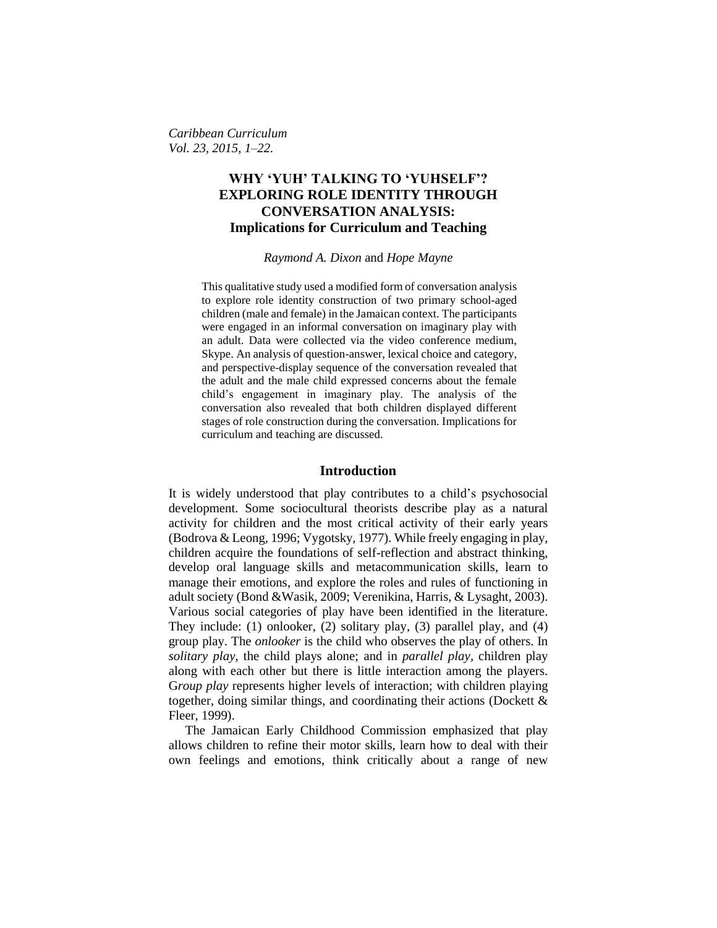*Caribbean Curriculum Vol. 23, 2015, 1–22.*

## **WHY 'YUH' TALKING TO 'YUHSELF'? EXPLORING ROLE IDENTITY THROUGH CONVERSATION ANALYSIS: Implications for Curriculum and Teaching**

#### *Raymond A. Dixon* and *Hope Mayne*

This qualitative study used a modified form of conversation analysis to explore role identity construction of two primary school-aged children (male and female) in the Jamaican context. The participants were engaged in an informal conversation on imaginary play with an adult. Data were collected via the video conference medium, Skype. An analysis of question-answer, lexical choice and category, and perspective-display sequence of the conversation revealed that the adult and the male child expressed concerns about the female child's engagement in imaginary play. The analysis of the conversation also revealed that both children displayed different stages of role construction during the conversation. Implications for curriculum and teaching are discussed.

## **Introduction**

It is widely understood that play contributes to a child's psychosocial development. Some sociocultural theorists describe play as a natural activity for children and the most critical activity of their early years (Bodrova & Leong, 1996; Vygotsky, 1977). While freely engaging in play, children acquire the foundations of self-reflection and abstract thinking, develop oral language skills and metacommunication skills, learn to manage their emotions, and explore the roles and rules of functioning in adult society (Bond &Wasik, 2009; Verenikina, Harris, & Lysaght, 2003). Various social categories of play have been identified in the literature. They include: (1) onlooker, (2) solitary play, (3) parallel play, and (4) group play. The *onlooker* is the child who observes the play of others. In *solitary play,* the child plays alone; and in *parallel play,* children play along with each other but there is little interaction among the players. G*roup play* represents higher levels of interaction; with children playing together, doing similar things, and coordinating their actions (Dockett & Fleer, 1999).

The Jamaican Early Childhood Commission emphasized that play allows children to refine their motor skills, learn how to deal with their own feelings and emotions, think critically about a range of new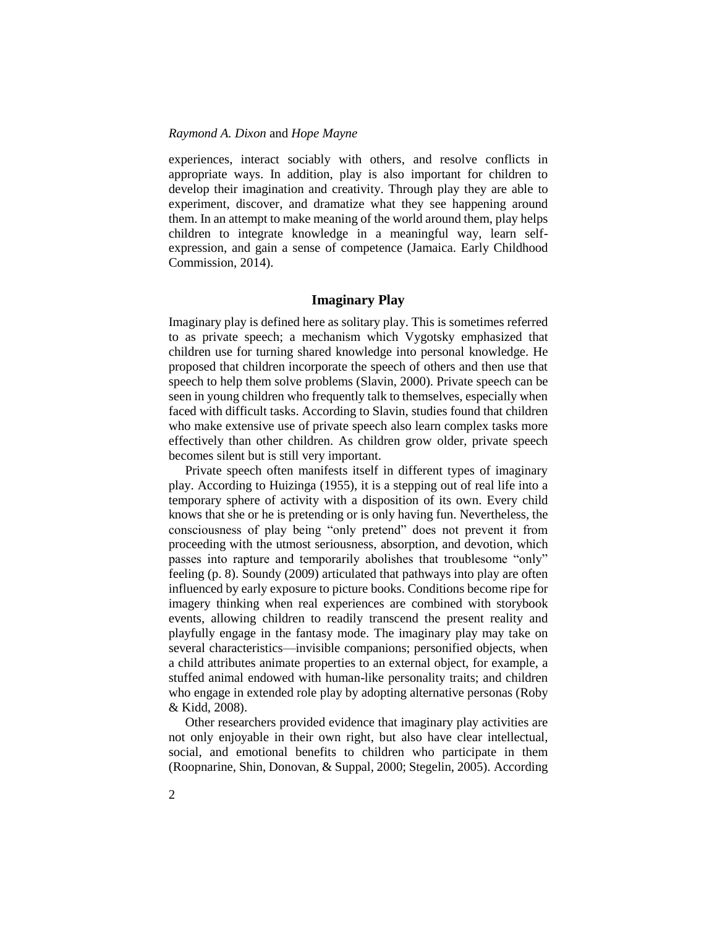experiences, interact sociably with others, and resolve conflicts in appropriate ways. In addition, play is also important for children to develop their imagination and creativity. Through play they are able to experiment, discover, and dramatize what they see happening around them. In an attempt to make meaning of the world around them, play helps children to integrate knowledge in a meaningful way, learn selfexpression, and gain a sense of competence (Jamaica. Early Childhood Commission, 2014).

### **Imaginary Play**

Imaginary play is defined here as solitary play. This is sometimes referred to as private speech; a mechanism which Vygotsky emphasized that children use for turning shared knowledge into personal knowledge. He proposed that children incorporate the speech of others and then use that speech to help them solve problems (Slavin, 2000). Private speech can be seen in young children who frequently talk to themselves, especially when faced with difficult tasks. According to Slavin, studies found that children who make extensive use of private speech also learn complex tasks more effectively than other children. As children grow older, private speech becomes silent but is still very important.

Private speech often manifests itself in different types of imaginary play. According to Huizinga (1955), it is a stepping out of real life into a temporary sphere of activity with a disposition of its own. Every child knows that she or he is pretending or is only having fun. Nevertheless, the consciousness of play being "only pretend" does not prevent it from proceeding with the utmost seriousness, absorption, and devotion, which passes into rapture and temporarily abolishes that troublesome "only" feeling (p. 8). Soundy (2009) articulated that pathways into play are often influenced by early exposure to picture books. Conditions become ripe for imagery thinking when real experiences are combined with storybook events, allowing children to readily transcend the present reality and playfully engage in the fantasy mode. The imaginary play may take on several characteristics—invisible companions; personified objects, when a child attributes animate properties to an external object, for example, a stuffed animal endowed with human-like personality traits; and children who engage in extended role play by adopting alternative personas (Roby & Kidd, 2008).

Other researchers provided evidence that imaginary play activities are not only enjoyable in their own right, but also have clear intellectual, social, and emotional benefits to children who participate in them (Roopnarine, Shin, Donovan, & Suppal, 2000; Stegelin, 2005). According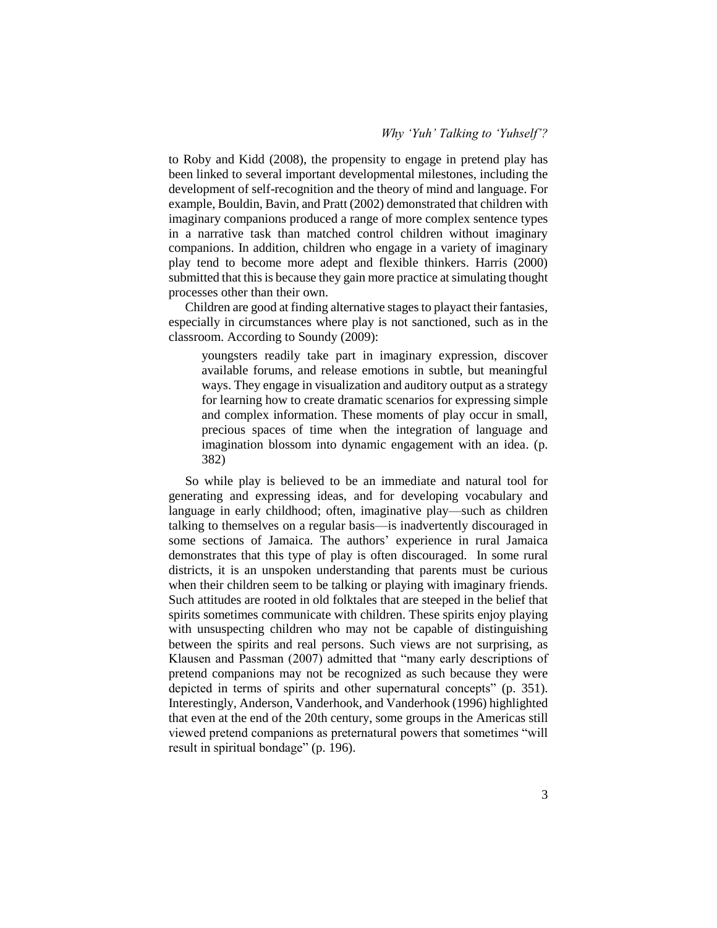to Roby and Kidd (2008), the propensity to engage in pretend play has been linked to several important developmental milestones, including the development of self-recognition and the theory of mind and language. For example, Bouldin, Bavin, and Pratt (2002) demonstrated that children with imaginary companions produced a range of more complex sentence types in a narrative task than matched control children without imaginary companions. In addition, children who engage in a variety of imaginary play tend to become more adept and flexible thinkers. Harris (2000) submitted that this is because they gain more practice at simulating thought processes other than their own.

Children are good at finding alternative stages to playact their fantasies, especially in circumstances where play is not sanctioned, such as in the classroom. According to Soundy (2009):

youngsters readily take part in imaginary expression, discover available forums, and release emotions in subtle, but meaningful ways. They engage in visualization and auditory output as a strategy for learning how to create dramatic scenarios for expressing simple and complex information. These moments of play occur in small, precious spaces of time when the integration of language and imagination blossom into dynamic engagement with an idea. (p. 382)

So while play is believed to be an immediate and natural tool for generating and expressing ideas, and for developing vocabulary and language in early childhood; often, imaginative play—such as children talking to themselves on a regular basis—is inadvertently discouraged in some sections of Jamaica. The authors' experience in rural Jamaica demonstrates that this type of play is often discouraged. In some rural districts, it is an unspoken understanding that parents must be curious when their children seem to be talking or playing with imaginary friends. Such attitudes are rooted in old folktales that are steeped in the belief that spirits sometimes communicate with children. These spirits enjoy playing with unsuspecting children who may not be capable of distinguishing between the spirits and real persons. Such views are not surprising, as Klausen and Passman (2007) admitted that "many early descriptions of pretend companions may not be recognized as such because they were depicted in terms of spirits and other supernatural concepts" (p. 351). Interestingly, Anderson, Vanderhook, and Vanderhook (1996) highlighted that even at the end of the 20th century, some groups in the Americas still viewed pretend companions as preternatural powers that sometimes "will result in spiritual bondage" (p. 196).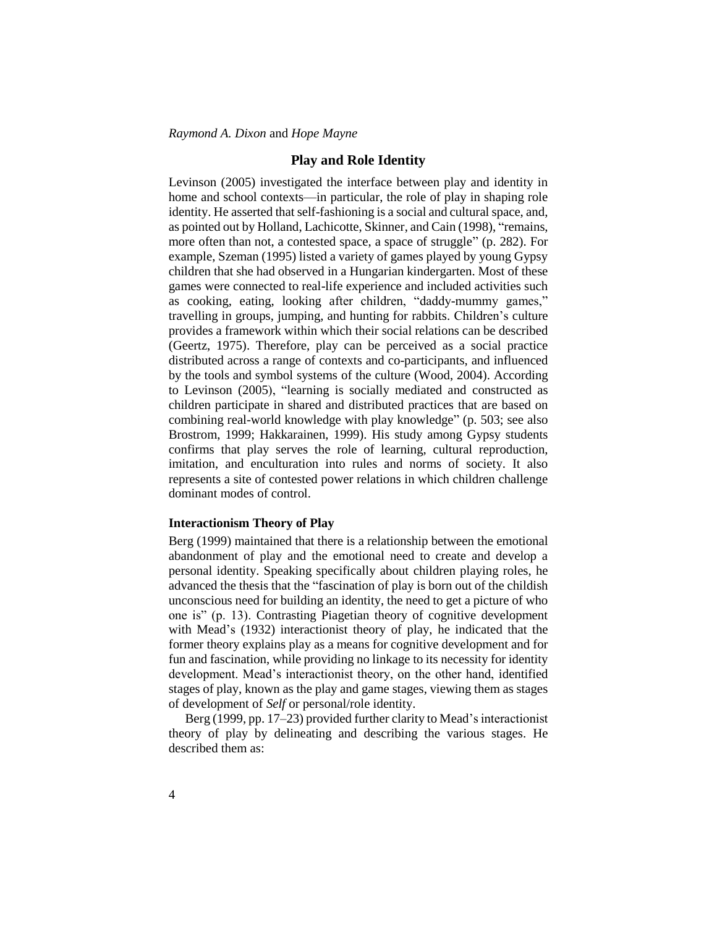## **Play and Role Identity**

Levinson (2005) investigated the interface between play and identity in home and school contexts—in particular, the role of play in shaping role identity. He asserted that self-fashioning is a social and cultural space, and, as pointed out by Holland, Lachicotte, Skinner, and Cain (1998), "remains, more often than not, a contested space, a space of struggle" (p. 282). For example, Szeman (1995) listed a variety of games played by young Gypsy children that she had observed in a Hungarian kindergarten. Most of these games were connected to real-life experience and included activities such as cooking, eating, looking after children, "daddy-mummy games," travelling in groups, jumping, and hunting for rabbits. Children's culture provides a framework within which their social relations can be described (Geertz, 1975). Therefore, play can be perceived as a social practice distributed across a range of contexts and co-participants, and influenced by the tools and symbol systems of the culture (Wood, 2004). According to Levinson (2005), "learning is socially mediated and constructed as children participate in shared and distributed practices that are based on combining real-world knowledge with play knowledge" (p. 503; see also Brostrom, 1999; Hakkarainen, 1999). His study among Gypsy students confirms that play serves the role of learning, cultural reproduction, imitation, and enculturation into rules and norms of society. It also represents a site of contested power relations in which children challenge dominant modes of control.

## **Interactionism Theory of Play**

Berg (1999) maintained that there is a relationship between the emotional abandonment of play and the emotional need to create and develop a personal identity. Speaking specifically about children playing roles, he advanced the thesis that the "fascination of play is born out of the childish unconscious need for building an identity, the need to get a picture of who one is" (p. 13). Contrasting Piagetian theory of cognitive development with Mead's (1932) interactionist theory of play, he indicated that the former theory explains play as a means for cognitive development and for fun and fascination, while providing no linkage to its necessity for identity development. Mead's interactionist theory, on the other hand, identified stages of play, known as the play and game stages, viewing them as stages of development of *Self* or personal/role identity.

Berg (1999, pp. 17–23) provided further clarity to Mead's interactionist theory of play by delineating and describing the various stages. He described them as: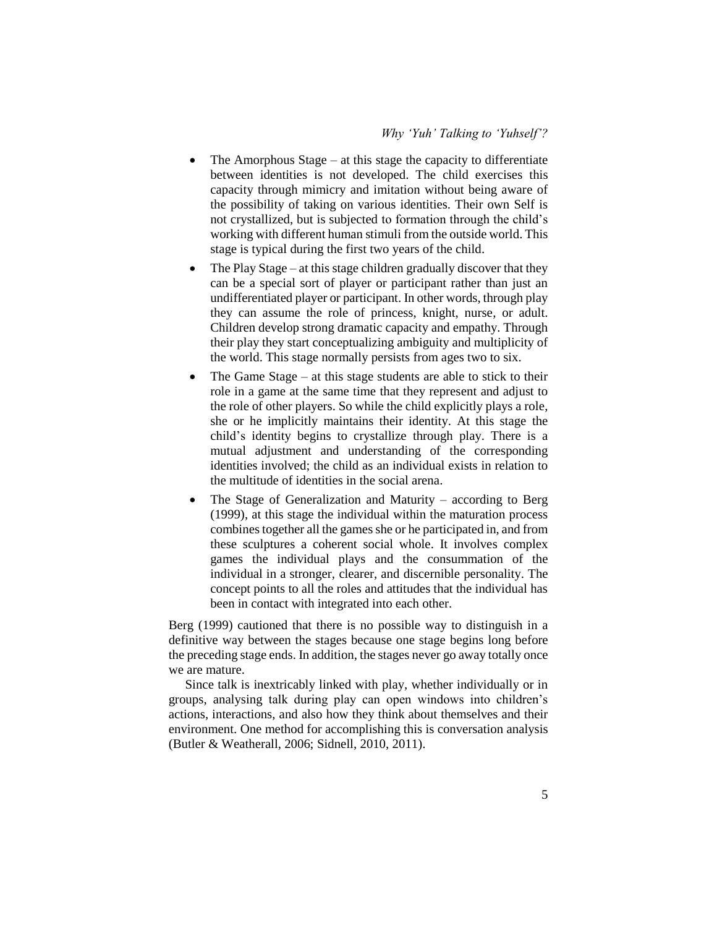- The Amorphous Stage at this stage the capacity to differentiate between identities is not developed. The child exercises this capacity through mimicry and imitation without being aware of the possibility of taking on various identities. Their own Self is not crystallized, but is subjected to formation through the child's working with different human stimuli from the outside world. This stage is typical during the first two years of the child.
- The Play Stage at this stage children gradually discover that they can be a special sort of player or participant rather than just an undifferentiated player or participant. In other words, through play they can assume the role of princess, knight, nurse, or adult. Children develop strong dramatic capacity and empathy. Through their play they start conceptualizing ambiguity and multiplicity of the world. This stage normally persists from ages two to six.
- The Game Stage at this stage students are able to stick to their role in a game at the same time that they represent and adjust to the role of other players. So while the child explicitly plays a role, she or he implicitly maintains their identity. At this stage the child's identity begins to crystallize through play. There is a mutual adjustment and understanding of the corresponding identities involved; the child as an individual exists in relation to the multitude of identities in the social arena.
- The Stage of Generalization and Maturity according to Berg (1999), at this stage the individual within the maturation process combines together all the games she or he participated in, and from these sculptures a coherent social whole. It involves complex games the individual plays and the consummation of the individual in a stronger, clearer, and discernible personality. The concept points to all the roles and attitudes that the individual has been in contact with integrated into each other.

Berg (1999) cautioned that there is no possible way to distinguish in a definitive way between the stages because one stage begins long before the preceding stage ends. In addition, the stages never go away totally once we are mature.

Since talk is inextricably linked with play, whether individually or in groups, analysing talk during play can open windows into children's actions, interactions, and also how they think about themselves and their environment. One method for accomplishing this is conversation analysis (Butler & Weatherall, 2006; Sidnell, 2010, 2011).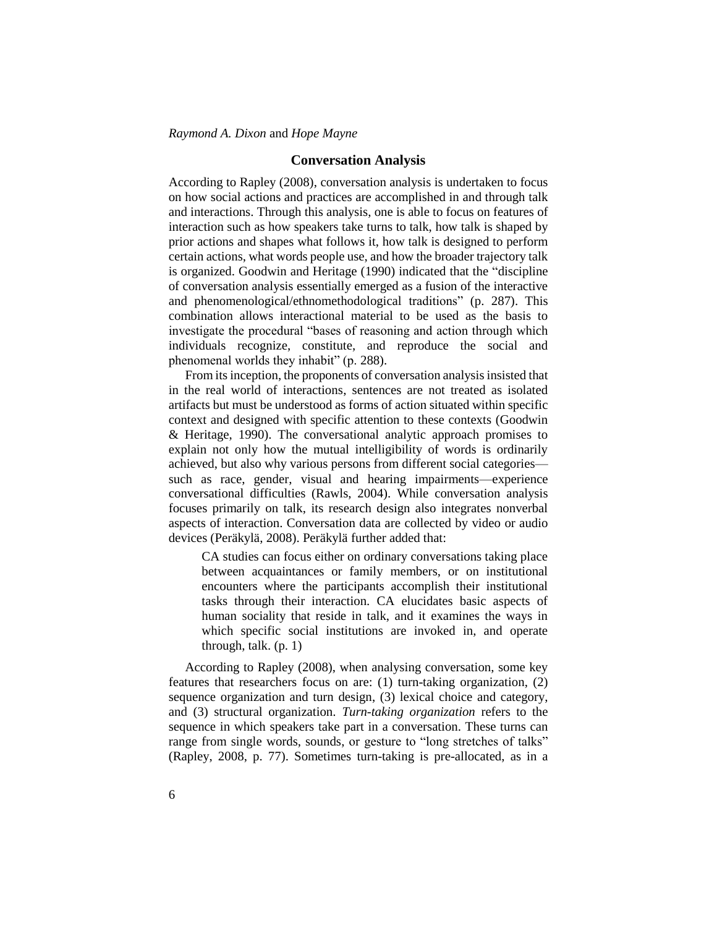## **Conversation Analysis**

According to Rapley (2008), conversation analysis is undertaken to focus on how social actions and practices are accomplished in and through talk and interactions. Through this analysis, one is able to focus on features of interaction such as how speakers take turns to talk, how talk is shaped by prior actions and shapes what follows it, how talk is designed to perform certain actions, what words people use, and how the broader trajectory talk is organized. Goodwin and Heritage (1990) indicated that the "discipline of conversation analysis essentially emerged as a fusion of the interactive and phenomenological/ethnomethodological traditions" (p. 287). This combination allows interactional material to be used as the basis to investigate the procedural "bases of reasoning and action through which individuals recognize, constitute, and reproduce the social and phenomenal worlds they inhabit" (p. 288).

From its inception, the proponents of conversation analysis insisted that in the real world of interactions, sentences are not treated as isolated artifacts but must be understood as forms of action situated within specific context and designed with specific attention to these contexts (Goodwin & Heritage, 1990). The conversational analytic approach promises to explain not only how the mutual intelligibility of words is ordinarily achieved, but also why various persons from different social categories such as race, gender, visual and hearing impairments—experience conversational difficulties (Rawls, 2004). While conversation analysis focuses primarily on talk, its research design also integrates nonverbal aspects of interaction. Conversation data are collected by video or audio devices (Peräkylä, 2008). Peräkylä further added that:

CA studies can focus either on ordinary conversations taking place between acquaintances or family members, or on institutional encounters where the participants accomplish their institutional tasks through their interaction. CA elucidates basic aspects of human sociality that reside in talk, and it examines the ways in which specific social institutions are invoked in, and operate through, talk. (p. 1)

According to Rapley (2008), when analysing conversation, some key features that researchers focus on are: (1) turn-taking organization, (2) sequence organization and turn design, (3) lexical choice and category, and (3) structural organization. *Turn-taking organization* refers to the sequence in which speakers take part in a conversation. These turns can range from single words, sounds, or gesture to "long stretches of talks" (Rapley, 2008, p. 77). Sometimes turn-taking is pre-allocated, as in a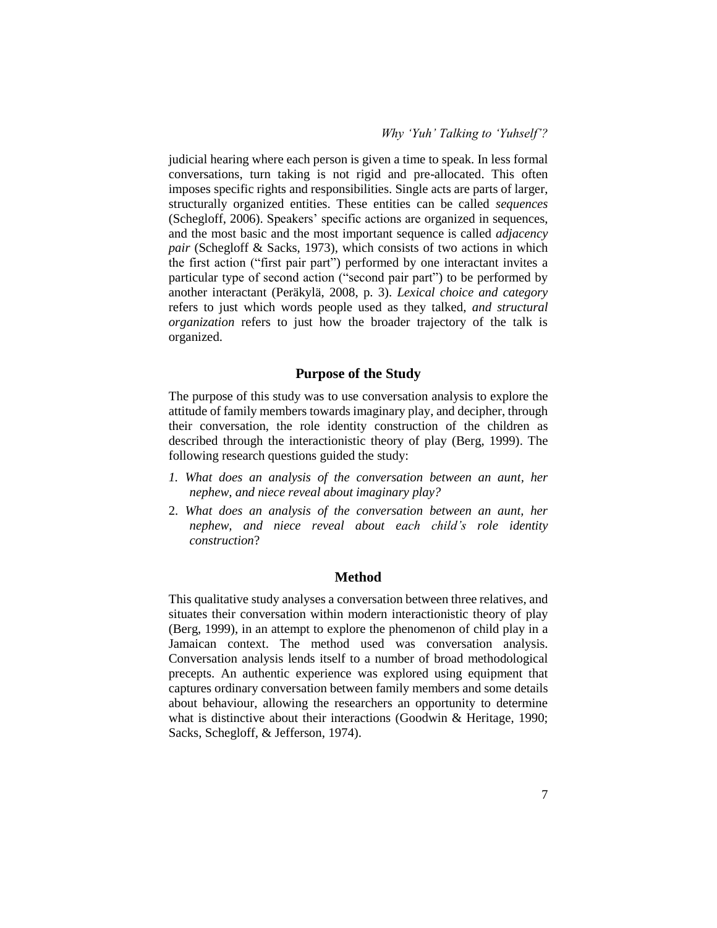judicial hearing where each person is given a time to speak. In less formal conversations, turn taking is not rigid and pre-allocated. This often imposes specific rights and responsibilities. Single acts are parts of larger, structurally organized entities. These entities can be called *sequences* (Schegloff, 2006). Speakers' specific actions are organized in sequences, and the most basic and the most important sequence is called *adjacency pair* (Schegloff & Sacks, 1973), which consists of two actions in which the first action ("first pair part") performed by one interactant invites a particular type of second action ("second pair part") to be performed by another interactant (Peräkylä, 2008, p. 3). *Lexical choice and category* refers to just which words people used as they talked, *and structural organization* refers to just how the broader trajectory of the talk is organized.

### **Purpose of the Study**

The purpose of this study was to use conversation analysis to explore the attitude of family members towards imaginary play, and decipher, through their conversation, the role identity construction of the children as described through the interactionistic theory of play (Berg, 1999). The following research questions guided the study:

- *1. What does an analysis of the conversation between an aunt, her nephew, and niece reveal about imaginary play?*
- 2. *What does an analysis of the conversation between an aunt, her nephew, and niece reveal about each child's role identity construction*?

## **Method**

This qualitative study analyses a conversation between three relatives, and situates their conversation within modern interactionistic theory of play (Berg, 1999), in an attempt to explore the phenomenon of child play in a Jamaican context. The method used was conversation analysis. Conversation analysis lends itself to a number of broad methodological precepts. An authentic experience was explored using equipment that captures ordinary conversation between family members and some details about behaviour, allowing the researchers an opportunity to determine what is distinctive about their interactions (Goodwin & Heritage, 1990; Sacks, Schegloff, & Jefferson, 1974).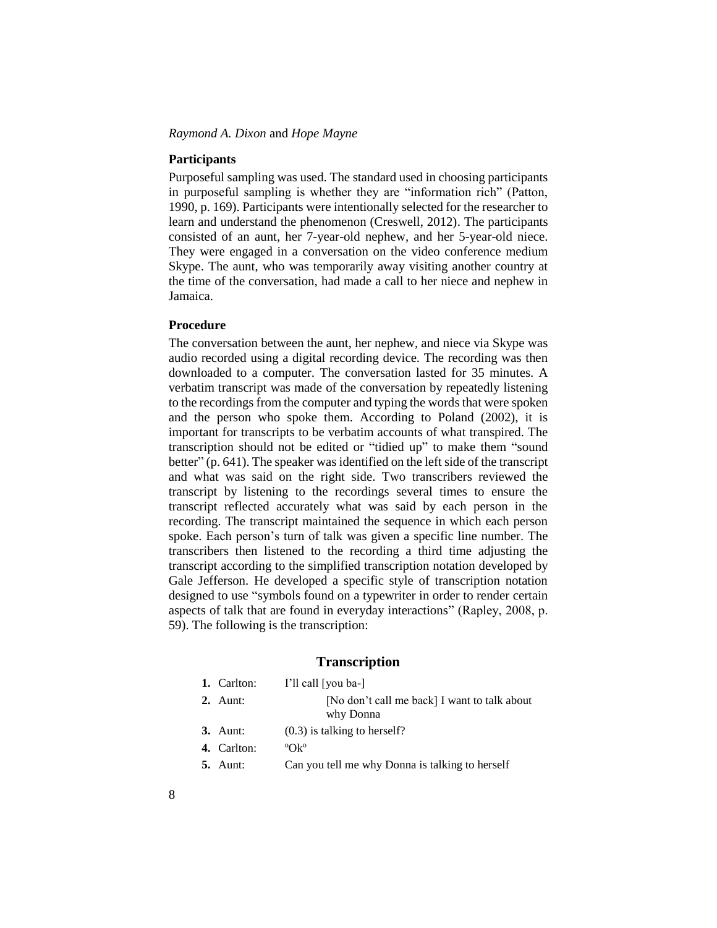#### **Participants**

Purposeful sampling was used. The standard used in choosing participants in purposeful sampling is whether they are "information rich" (Patton, 1990, p. 169). Participants were intentionally selected for the researcher to learn and understand the phenomenon (Creswell, 2012). The participants consisted of an aunt, her 7-year-old nephew, and her 5-year-old niece. They were engaged in a conversation on the video conference medium Skype. The aunt, who was temporarily away visiting another country at the time of the conversation, had made a call to her niece and nephew in Jamaica.

## **Procedure**

The conversation between the aunt, her nephew, and niece via Skype was audio recorded using a digital recording device. The recording was then downloaded to a computer. The conversation lasted for 35 minutes. A verbatim transcript was made of the conversation by repeatedly listening to the recordings from the computer and typing the words that were spoken and the person who spoke them. According to Poland (2002), it is important for transcripts to be verbatim accounts of what transpired. The transcription should not be edited or "tidied up" to make them "sound better" (p. 641). The speaker was identified on the left side of the transcript and what was said on the right side. Two transcribers reviewed the transcript by listening to the recordings several times to ensure the transcript reflected accurately what was said by each person in the recording. The transcript maintained the sequence in which each person spoke. Each person's turn of talk was given a specific line number. The transcribers then listened to the recording a third time adjusting the transcript according to the simplified transcription notation developed by Gale Jefferson. He developed a specific style of transcription notation designed to use "symbols found on a typewriter in order to render certain aspects of talk that are found in everyday interactions" (Rapley, 2008, p. 59). The following is the transcription:

#### **Transcription**

| 1. Carlton:     | I'll call [you ba-]                                       |
|-----------------|-----------------------------------------------------------|
| $2.$ Aunt:      | [No don't call me back] I want to talk about<br>why Donna |
| $3.$ Aunt:      | $(0.3)$ is talking to herself?                            |
| 4. Carlton:     | $O(k^{\circ})$                                            |
| <b>5.</b> Aunt: | Can you tell me why Donna is talking to herself           |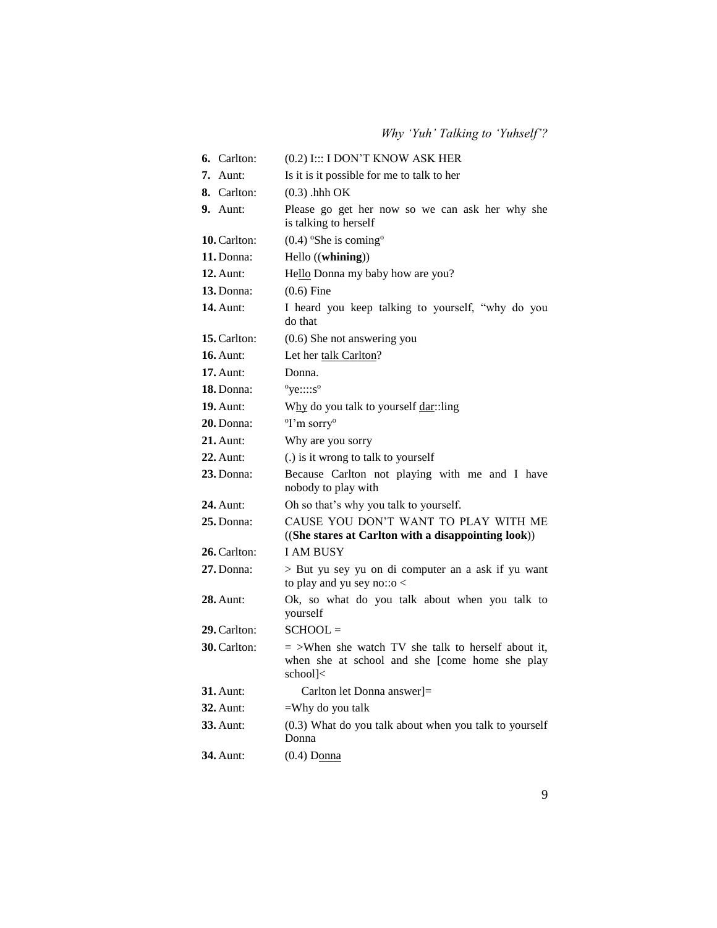| 6. Carlton:         | (0.2) I::: I DON'T KNOW ASK HER                                                                                    |
|---------------------|--------------------------------------------------------------------------------------------------------------------|
| $7.$ Aunt:          | Is it is it possible for me to talk to her                                                                         |
| 8. Carlton:         | $(0.3)$ .hhh OK                                                                                                    |
| $9.$ Aunt:          | Please go get her now so we can ask her why she<br>is talking to herself                                           |
| 10. Carlton:        | $(0.4)$ °She is coming°                                                                                            |
| 11. Donna:          | Hello ((whining))                                                                                                  |
| <b>12.</b> Aunt:    | Hello Donna my baby how are you?                                                                                   |
| 13. Donna:          | $(0.6)$ Fine                                                                                                       |
| <b>14.</b> Aunt:    | I heard you keep talking to yourself, "why do you<br>do that                                                       |
| 15. Carlton:        | $(0.6)$ She not answering you                                                                                      |
| <b>16.</b> Aunt:    | Let her talk Carlton?                                                                                              |
| $17.$ Aunt:         | Donna.                                                                                                             |
| 18. Donna:          | $^{\circ}$ ye::::s $^{\circ}$                                                                                      |
| <b>19.</b> Aunt:    | Why do you talk to yourself dar::ling                                                                              |
| $20.$ Donna:        | <sup>o</sup> I'm sorry <sup>o</sup>                                                                                |
| $21.$ Aunt:         | Why are you sorry                                                                                                  |
| 22. Aunt:           | (.) is it wrong to talk to yourself                                                                                |
| <b>23.</b> Donna:   | Because Carlton not playing with me and I have<br>nobody to play with                                              |
| <b>24.</b> Aunt:    | Oh so that's why you talk to yourself.                                                                             |
| $25.$ Donna:        | CAUSE YOU DON'T WANT TO PLAY WITH ME<br>((She stares at Carlton with a disappointing look))                        |
| 26. Carlton:        | <b>I AM BUSY</b>                                                                                                   |
| $27.$ Donna:        | > But yu sey yu on di computer an a ask if yu want<br>to play and yu sey no:: $o <$                                |
| 28. Aunt:           | Ok, so what do you talk about when you talk to<br>yourself                                                         |
| 29. Carlton:        | $SCHOOL =$                                                                                                         |
| <b>30.</b> Carlton: | $=$ >When she watch TV she talk to herself about it,<br>when she at school and she [come home she play<br>school]< |
| <b>31.</b> Aunt:    | Carlton let Donna answer]=                                                                                         |
| <b>32.</b> Aunt:    | =Why do you talk                                                                                                   |
| <b>33.</b> Aunt:    | (0.3) What do you talk about when you talk to yourself<br>Donna                                                    |
| <b>34.</b> Aunt:    | $(0.4)$ Donna                                                                                                      |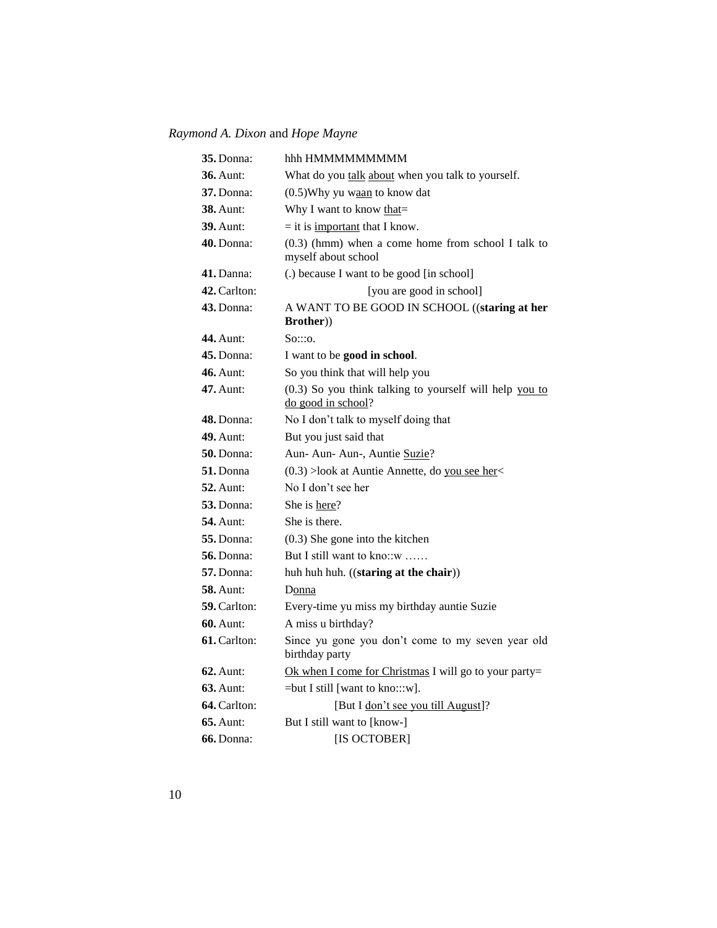| 35. Donna:          | hhh HMMMMMMMMM                                                                |
|---------------------|-------------------------------------------------------------------------------|
| <b>36.</b> Aunt:    | What do you talk about when you talk to yourself.                             |
| <b>37.</b> Donna:   | (0.5) Why yu waan to know dat                                                 |
| <b>38.</b> Aunt:    | Why I want to know that=                                                      |
| <b>39.</b> Aunt:    | $=$ it is <u>important</u> that I know.                                       |
| 40. Donna:          | $(0.3)$ (hmm) when a come home from school I talk to<br>myself about school   |
| $41.$ Danna:        | (.) because I want to be good [in school]                                     |
| <b>42.</b> Carlton: | [you are good in school]                                                      |
| 43. Donna:          | A WANT TO BE GOOD IN SCHOOL ((staring at her<br><b>Brother</b> ))             |
| <b>44.</b> Aunt:    | $S_0::o.$                                                                     |
| 45. Donna:          | I want to be good in school.                                                  |
| <b>46.</b> Aunt:    | So you think that will help you                                               |
| 47. Aunt:           | (0.3) So you think talking to yourself will help you to<br>do good in school? |
| <b>48.</b> Donna:   | No I don't talk to myself doing that                                          |
| 49. Aunt:           | But you just said that                                                        |
| $50.$ Donna:        | Aun- Aun- Aun-, Auntie Suzie?                                                 |
| 51. Donna           | $(0.3)$ >look at Auntie Annette, do you see her<                              |
| <b>52.</b> Aunt:    | No I don't see her                                                            |
| <b>53.</b> Donna:   | She is here?                                                                  |
| <b>54.</b> Aunt:    | She is there.                                                                 |
| <b>55. Donna:</b>   | $(0.3)$ She gone into the kitchen                                             |
| <b>56.</b> Donna:   | But I still want to kno::w                                                    |
| <b>57.</b> Donna:   | huh huh huh. ((staring at the chair))                                         |
| <b>58.</b> Aunt:    | Donna                                                                         |
| <b>59.</b> Carlton: | Every-time yu miss my birthday auntie Suzie                                   |
| <b>60.</b> Aunt:    | A miss u birthday?                                                            |
| <b>61.</b> Carlton: | Since yu gone you don't come to my seven year old<br>birthday party           |
| $62$ . Aunt:        | Ok when I come for Christmas I will go to your party=                         |
| <b>63.</b> Aunt:    | $=$ but I still [want to kno:::w].                                            |
| 64. Carlton:        | [But I don't see you till August]?                                            |
| $65.$ Aunt:         | But I still want to [know-]                                                   |
| <b>66.</b> Donna:   | [IS OCTOBER]                                                                  |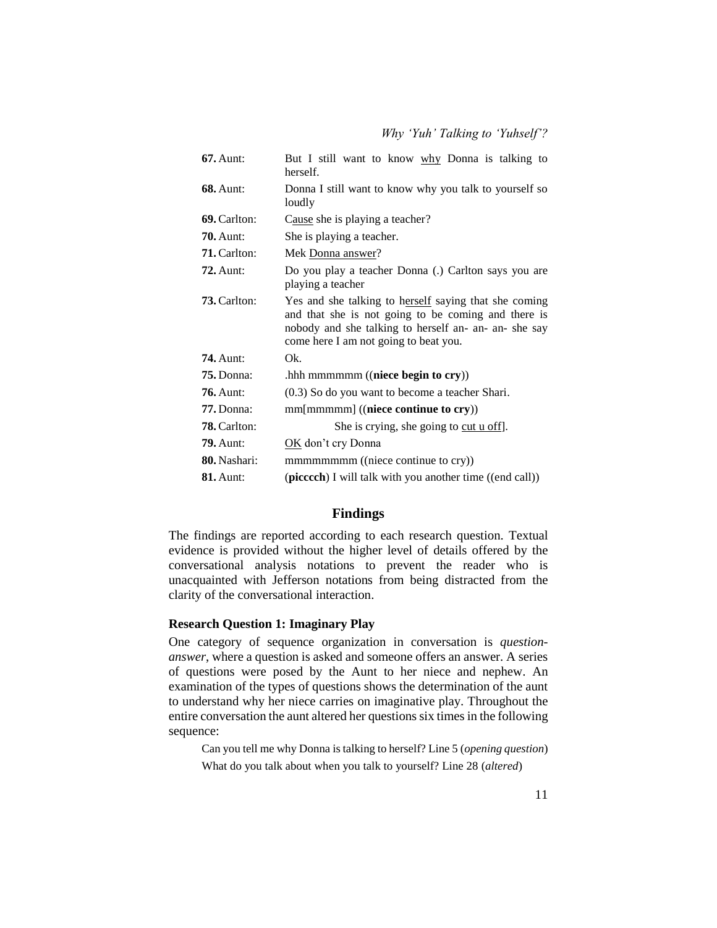| <b>67.</b> Aunt:    | But I still want to know why Donna is talking to<br>herself.                                                                                                                                                   |
|---------------------|----------------------------------------------------------------------------------------------------------------------------------------------------------------------------------------------------------------|
| <b>68.</b> Aunt:    | Donna I still want to know why you talk to yourself so<br>loudly                                                                                                                                               |
| 69. Carlton:        | Cause she is playing a teacher?                                                                                                                                                                                |
| $70.$ Aunt:         | She is playing a teacher.                                                                                                                                                                                      |
| 71. Carlton:        | Mek Donna answer?                                                                                                                                                                                              |
| $72.$ Aunt:         | Do you play a teacher Donna (.) Carlton says you are<br>playing a teacher                                                                                                                                      |
| <b>73.</b> Carlton: | Yes and she talking to herself saying that she coming<br>and that she is not going to be coming and there is<br>nobody and she talking to herself an- an- an- she say<br>come here I am not going to beat you. |
| $74.$ Aunt:         | Ok.                                                                                                                                                                                                            |
| $75.$ Donna:        | .hhh mmmmmm ((niece begin to cry))                                                                                                                                                                             |
| <b>76.</b> Aunt:    | $(0.3)$ So do you want to become a teacher Shari.                                                                                                                                                              |
| $77.$ Donna:        | $mm[mmmm]$ ((niece continue to cry))                                                                                                                                                                           |
| <b>78.</b> Carlton: | She is crying, she going to cut u off.                                                                                                                                                                         |
| <b>79.</b> Aunt:    | OK don't cry Donna                                                                                                                                                                                             |
| 80. Nashari:        | mmmmmmmm ((niece continue to cry))                                                                                                                                                                             |
| <b>81.</b> Aunt:    | (piccoch) I will talk with you another time ((end call))                                                                                                                                                       |

#### **Findings**

The findings are reported according to each research question. Textual evidence is provided without the higher level of details offered by the conversational analysis notations to prevent the reader who is unacquainted with Jefferson notations from being distracted from the clarity of the conversational interaction.

## **Research Question 1: Imaginary Play**

One category of sequence organization in conversation is *questionanswer*, where a question is asked and someone offers an answer. A series of questions were posed by the Aunt to her niece and nephew. An examination of the types of questions shows the determination of the aunt to understand why her niece carries on imaginative play. Throughout the entire conversation the aunt altered her questions six times in the following sequence:

Can you tell me why Donna is talking to herself? Line 5 (*opening question*) What do you talk about when you talk to yourself? Line 28 (*altered*)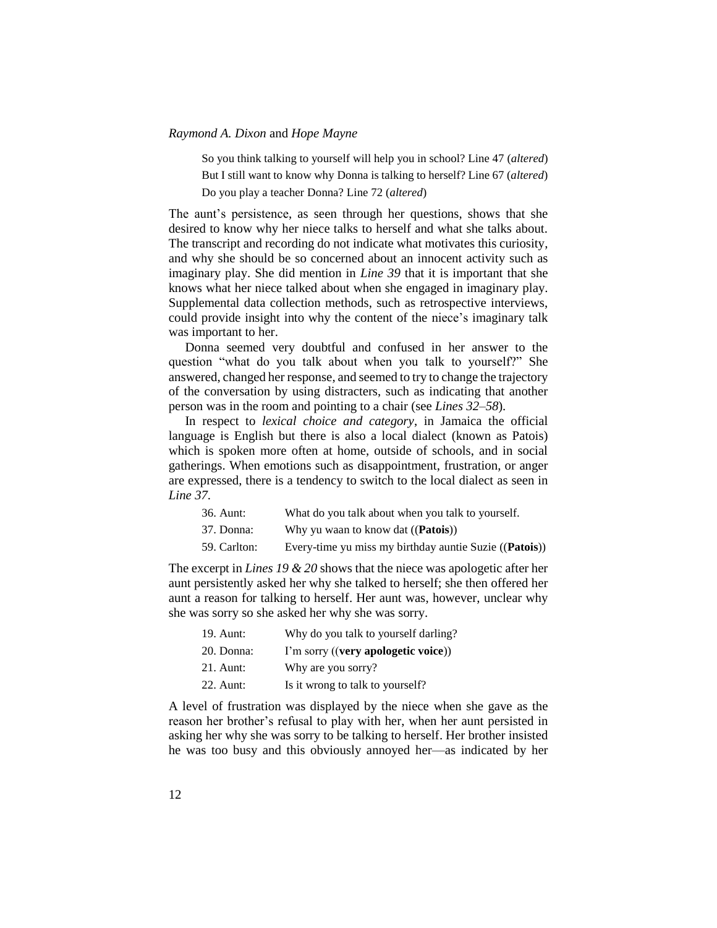So you think talking to yourself will help you in school? Line 47 (*altered*) But I still want to know why Donna is talking to herself? Line 67 (*altered*) Do you play a teacher Donna? Line 72 (*altered*)

The aunt's persistence, as seen through her questions, shows that she desired to know why her niece talks to herself and what she talks about. The transcript and recording do not indicate what motivates this curiosity, and why she should be so concerned about an innocent activity such as imaginary play. She did mention in *Line 39* that it is important that she knows what her niece talked about when she engaged in imaginary play. Supplemental data collection methods, such as retrospective interviews, could provide insight into why the content of the niece's imaginary talk was important to her.

Donna seemed very doubtful and confused in her answer to the question "what do you talk about when you talk to yourself?" She answered, changed her response, and seemed to try to change the trajectory of the conversation by using distracters, such as indicating that another person was in the room and pointing to a chair (see *Lines 32–58*)*.*

In respect to *lexical choice and category*, in Jamaica the official language is English but there is also a local dialect (known as Patois) which is spoken more often at home, outside of schools, and in social gatherings. When emotions such as disappointment, frustration, or anger are expressed, there is a tendency to switch to the local dialect as seen in *Line 37*.

| 36. Aunt:    | What do you talk about when you talk to yourself.               |
|--------------|-----------------------------------------------------------------|
| 37. Donna:   | Why yu waan to know dat (( <b>Patois</b> ))                     |
| 59. Carlton: | Every-time yu miss my birthday auntie Suzie (( <b>Patois</b> )) |

The excerpt in *Lines 19 & 20* shows that the niece was apologetic after her aunt persistently asked her why she talked to herself; she then offered her aunt a reason for talking to herself. Her aunt was, however, unclear why she was sorry so she asked her why she was sorry.

| 19. Aunt:   | Why do you talk to yourself darling? |
|-------------|--------------------------------------|
| 20. Donna:  | I'm sorry ((very apologetic voice))  |
| $21.$ Aunt: | Why are you sorry?                   |
| 22. Aunt:   | Is it wrong to talk to yourself?     |
|             |                                      |

A level of frustration was displayed by the niece when she gave as the reason her brother's refusal to play with her, when her aunt persisted in asking her why she was sorry to be talking to herself. Her brother insisted he was too busy and this obviously annoyed her—as indicated by her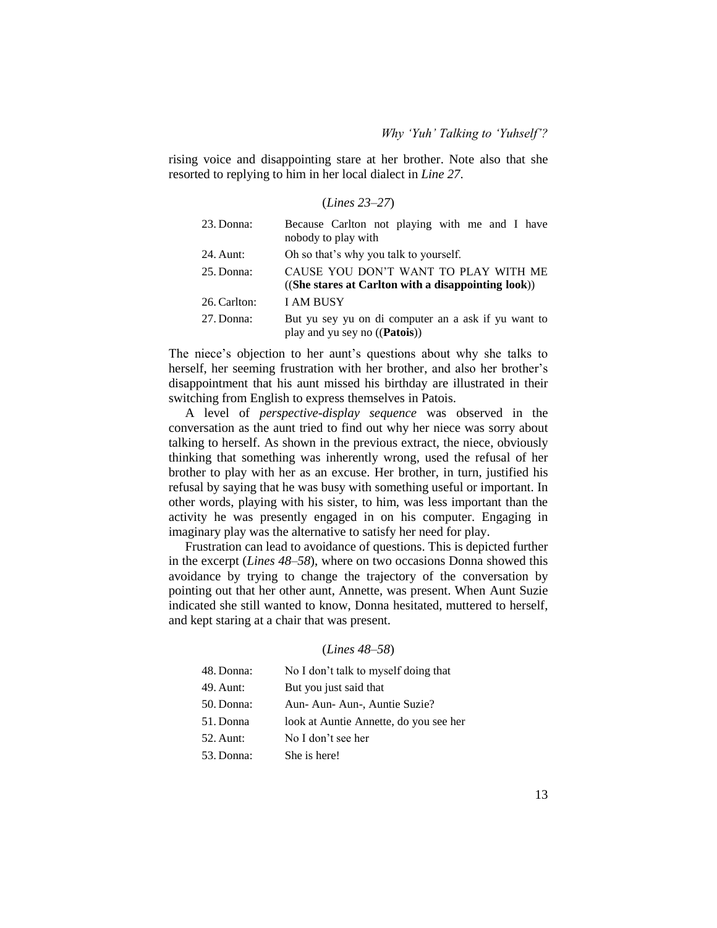rising voice and disappointing stare at her brother. Note also that she resorted to replying to him in her local dialect in *Line 27*.

(*Lines 23–27*)

| 23. Donna:   | Because Carlton not playing with me and I have<br>nobody to play with                                     |
|--------------|-----------------------------------------------------------------------------------------------------------|
| 24. Aunt:    | Oh so that's why you talk to yourself.                                                                    |
| 25. Donna:   | CAUSE YOU DON'T WANT TO PLAY WITH ME<br>$((She\; stars\; at\; Carlton\; with\; a\;disappointing\; look))$ |
| 26. Carlton: | <b>I AM BUSY</b>                                                                                          |
| 27. Donna:   | But yu sey yu on di computer an a ask if yu want to<br>play and yu sey no ((Patois))                      |

The niece's objection to her aunt's questions about why she talks to herself, her seeming frustration with her brother, and also her brother's disappointment that his aunt missed his birthday are illustrated in their switching from English to express themselves in Patois.

A level of *perspective-display sequence* was observed in the conversation as the aunt tried to find out why her niece was sorry about talking to herself. As shown in the previous extract, the niece, obviously thinking that something was inherently wrong, used the refusal of her brother to play with her as an excuse. Her brother, in turn, justified his refusal by saying that he was busy with something useful or important. In other words, playing with his sister, to him, was less important than the activity he was presently engaged in on his computer. Engaging in imaginary play was the alternative to satisfy her need for play.

Frustration can lead to avoidance of questions. This is depicted further in the excerpt (*Lines 48–58*), where on two occasions Donna showed this avoidance by trying to change the trajectory of the conversation by pointing out that her other aunt, Annette, was present. When Aunt Suzie indicated she still wanted to know, Donna hesitated, muttered to herself, and kept staring at a chair that was present.

#### (*Lines 48–58*)

| 48. Donna: | No I don't talk to myself doing that   |
|------------|----------------------------------------|
| 49. Aunt:  | But you just said that                 |
| 50. Donna: | Aun-Aun-Aun-, Auntie Suzie?            |
| 51. Donna  | look at Auntie Annette, do you see her |
| 52. Aunt:  | No I don't see her                     |
| 53. Donna: | She is here!                           |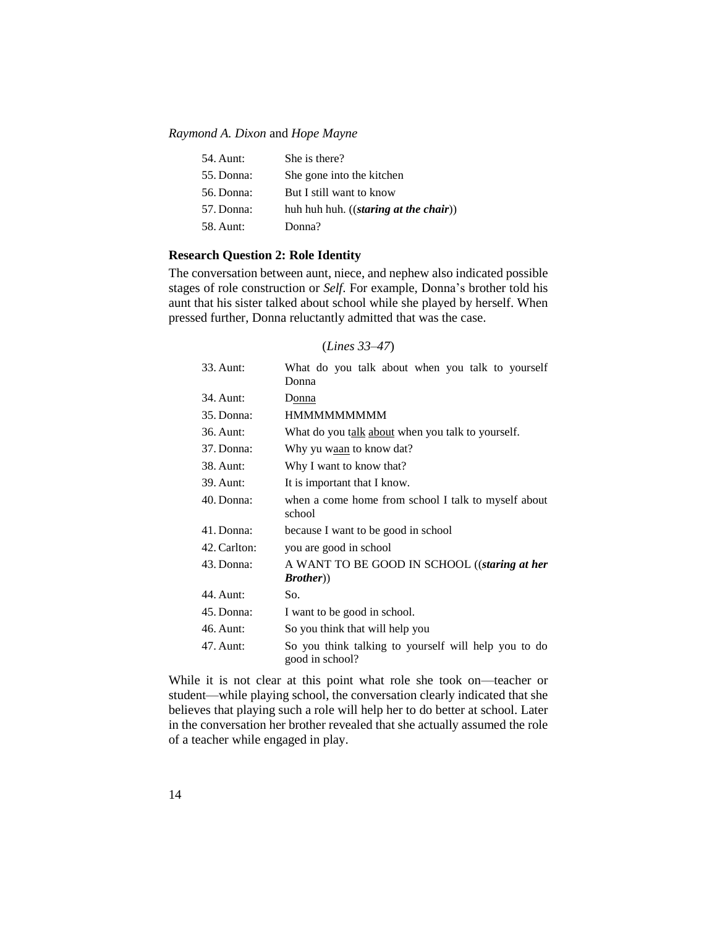| 54. Aunt:  | She is there?                            |
|------------|------------------------------------------|
| 55. Donna: | She gone into the kitchen                |
| 56. Donna: | But I still want to know                 |
| 57. Donna: | huh huh huh. $((starting at the chair))$ |
| 58. Aunt:  | Donna?                                   |
|            |                                          |

## **Research Question 2: Role Identity**

The conversation between aunt, niece, and nephew also indicated possible stages of role construction or *Self*. For example, Donna's brother told his aunt that his sister talked about school while she played by herself. When pressed further, Donna reluctantly admitted that was the case.

## (*Lines 33–47*)

| 33. Aunt:    | What do you talk about when you talk to yourself<br>Donna               |
|--------------|-------------------------------------------------------------------------|
| 34. Aunt:    | Donna                                                                   |
| 35. Donna:   | <b>HMMMMMMMMM</b>                                                       |
| 36. Aunt:    | What do you talk about when you talk to yourself.                       |
| 37. Donna:   | Why yu w <u>aan</u> to know dat?                                        |
| 38. Aunt:    | Why I want to know that?                                                |
| 39. Aunt:    | It is important that I know.                                            |
| 40. Donna:   | when a come home from school I talk to myself about<br>school           |
| 41. Donna:   | because I want to be good in school                                     |
| 42. Carlton: | you are good in school                                                  |
| 43. Donna:   | A WANT TO BE GOOD IN SCHOOL ((staring at her<br><i>Brother</i> )        |
| 44. Aunt:    | So.                                                                     |
| 45. Donna:   | I want to be good in school.                                            |
| 46. Aunt:    | So you think that will help you                                         |
| 47. Aunt:    | So you think talking to yourself will help you to do<br>good in school? |

While it is not clear at this point what role she took on—teacher or student—while playing school, the conversation clearly indicated that she believes that playing such a role will help her to do better at school. Later in the conversation her brother revealed that she actually assumed the role of a teacher while engaged in play.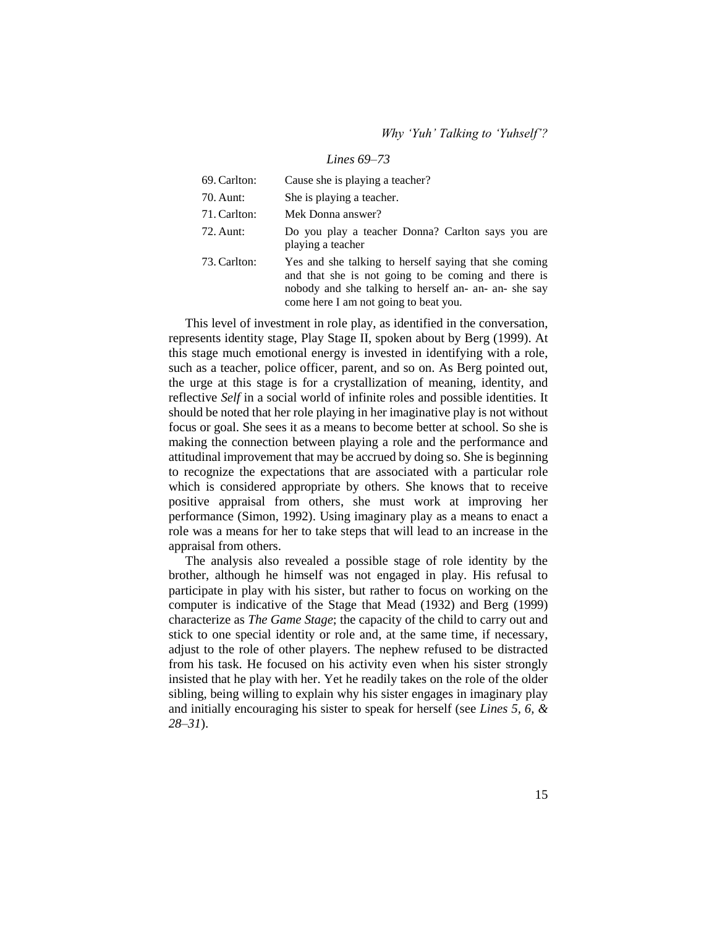#### *Lines 69–73*

| 69. Carlton: | Cause she is playing a teacher?                                                                                                                                                                                |
|--------------|----------------------------------------------------------------------------------------------------------------------------------------------------------------------------------------------------------------|
| 70. Aunt:    | She is playing a teacher.                                                                                                                                                                                      |
| 71. Carlton: | Mek Donna answer?                                                                                                                                                                                              |
| 72. Aunt:    | Do you play a teacher Donna? Carlton says you are<br>playing a teacher                                                                                                                                         |
| 73. Carlton: | Yes and she talking to herself saying that she coming<br>and that she is not going to be coming and there is<br>nobody and she talking to herself an- an- an- she say<br>come here I am not going to beat you. |

This level of investment in role play, as identified in the conversation, represents identity stage, Play Stage II, spoken about by Berg (1999). At this stage much emotional energy is invested in identifying with a role, such as a teacher, police officer, parent, and so on. As Berg pointed out, the urge at this stage is for a crystallization of meaning, identity, and reflective *Self* in a social world of infinite roles and possible identities. It should be noted that her role playing in her imaginative play is not without focus or goal. She sees it as a means to become better at school. So she is making the connection between playing a role and the performance and attitudinal improvement that may be accrued by doing so. She is beginning to recognize the expectations that are associated with a particular role which is considered appropriate by others. She knows that to receive positive appraisal from others, she must work at improving her performance (Simon, 1992). Using imaginary play as a means to enact a role was a means for her to take steps that will lead to an increase in the appraisal from others.

The analysis also revealed a possible stage of role identity by the brother, although he himself was not engaged in play. His refusal to participate in play with his sister, but rather to focus on working on the computer is indicative of the Stage that Mead (1932) and Berg (1999) characterize as *The Game Stage*; the capacity of the child to carry out and stick to one special identity or role and, at the same time, if necessary, adjust to the role of other players. The nephew refused to be distracted from his task. He focused on his activity even when his sister strongly insisted that he play with her. Yet he readily takes on the role of the older sibling, being willing to explain why his sister engages in imaginary play and initially encouraging his sister to speak for herself (see *Lines 5, 6, & 28–31*).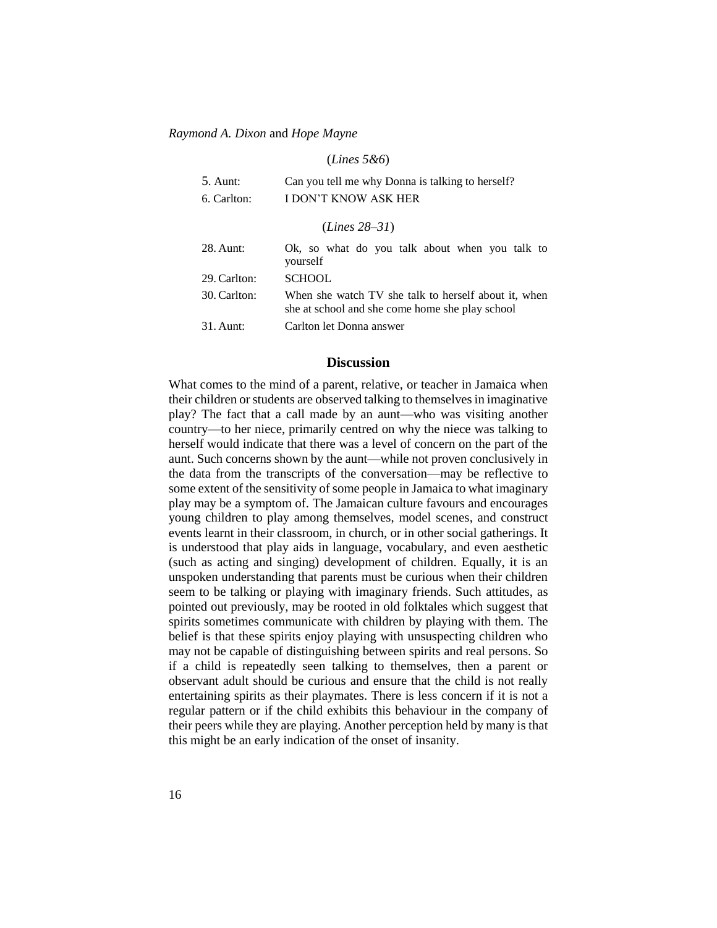#### (*Lines 5&6*)

| $5.$ Aunt:  | Can you tell me why Donna is talking to herself? |
|-------------|--------------------------------------------------|
| 6. Carlton: | I DON'T KNOW ASK HER                             |
|             |                                                  |

(*Lines 28–31*)

| 28. Aunt:    | Ok, so what do you talk about when you talk to                                                          |
|--------------|---------------------------------------------------------------------------------------------------------|
|              | yourself                                                                                                |
| 29. Carlton: | <b>SCHOOL</b>                                                                                           |
| 30. Carlton: | When she watch TV she talk to herself about it, when<br>she at school and she come home she play school |
| $31.$ Aunt:  | Carlton let Donna answer                                                                                |

## **Discussion**

What comes to the mind of a parent, relative, or teacher in Jamaica when their children or students are observed talking to themselves in imaginative play? The fact that a call made by an aunt—who was visiting another country—to her niece, primarily centred on why the niece was talking to herself would indicate that there was a level of concern on the part of the aunt. Such concerns shown by the aunt—while not proven conclusively in the data from the transcripts of the conversation—may be reflective to some extent of the sensitivity of some people in Jamaica to what imaginary play may be a symptom of. The Jamaican culture favours and encourages young children to play among themselves, model scenes, and construct events learnt in their classroom, in church, or in other social gatherings. It is understood that play aids in language, vocabulary, and even aesthetic (such as acting and singing) development of children. Equally, it is an unspoken understanding that parents must be curious when their children seem to be talking or playing with imaginary friends. Such attitudes, as pointed out previously, may be rooted in old folktales which suggest that spirits sometimes communicate with children by playing with them. The belief is that these spirits enjoy playing with unsuspecting children who may not be capable of distinguishing between spirits and real persons. So if a child is repeatedly seen talking to themselves, then a parent or observant adult should be curious and ensure that the child is not really entertaining spirits as their playmates. There is less concern if it is not a regular pattern or if the child exhibits this behaviour in the company of their peers while they are playing. Another perception held by many is that this might be an early indication of the onset of insanity.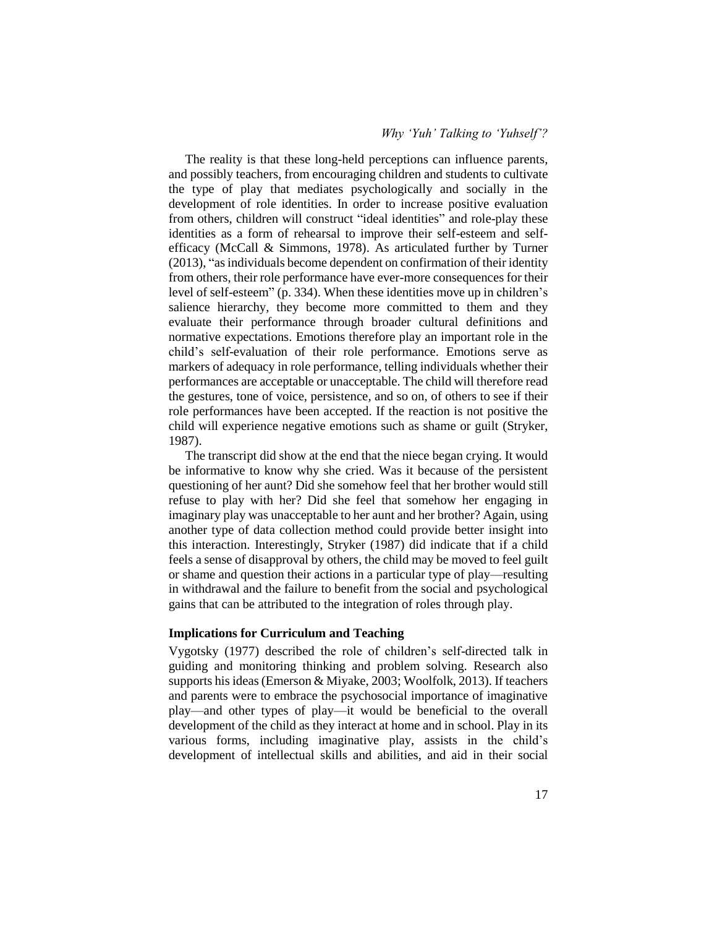## *Why 'Yuh' Talking to 'Yuhself'?*

The reality is that these long-held perceptions can influence parents, and possibly teachers, from encouraging children and students to cultivate the type of play that mediates psychologically and socially in the development of role identities. In order to increase positive evaluation from others, children will construct "ideal identities" and role-play these identities as a form of rehearsal to improve their self-esteem and selfefficacy (McCall & Simmons, 1978). As articulated further by Turner (2013), "as individuals become dependent on confirmation of their identity from others, their role performance have ever-more consequences for their level of self-esteem" (p. 334). When these identities move up in children's salience hierarchy, they become more committed to them and they evaluate their performance through broader cultural definitions and normative expectations. Emotions therefore play an important role in the child's self-evaluation of their role performance. Emotions serve as markers of adequacy in role performance, telling individuals whether their performances are acceptable or unacceptable. The child will therefore read the gestures, tone of voice, persistence, and so on, of others to see if their role performances have been accepted. If the reaction is not positive the child will experience negative emotions such as shame or guilt (Stryker, 1987).

The transcript did show at the end that the niece began crying. It would be informative to know why she cried. Was it because of the persistent questioning of her aunt? Did she somehow feel that her brother would still refuse to play with her? Did she feel that somehow her engaging in imaginary play was unacceptable to her aunt and her brother? Again, using another type of data collection method could provide better insight into this interaction. Interestingly, Stryker (1987) did indicate that if a child feels a sense of disapproval by others, the child may be moved to feel guilt or shame and question their actions in a particular type of play—resulting in withdrawal and the failure to benefit from the social and psychological gains that can be attributed to the integration of roles through play.

## **Implications for Curriculum and Teaching**

Vygotsky (1977) described the role of children's self-directed talk in guiding and monitoring thinking and problem solving. Research also supports his ideas (Emerson & Miyake, 2003; Woolfolk, 2013). If teachers and parents were to embrace the psychosocial importance of imaginative play—and other types of play—it would be beneficial to the overall development of the child as they interact at home and in school. Play in its various forms, including imaginative play, assists in the child's development of intellectual skills and abilities, and aid in their social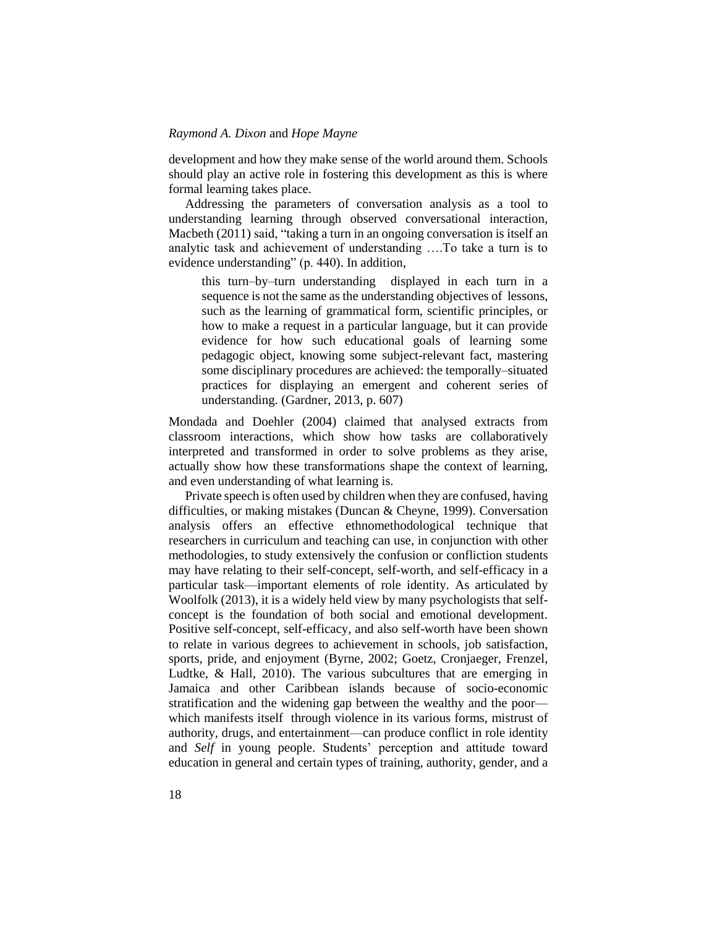development and how they make sense of the world around them. Schools should play an active role in fostering this development as this is where formal learning takes place.

Addressing the parameters of conversation analysis as a tool to understanding learning through observed conversational interaction, Macbeth (2011) said, "taking a turn in an ongoing conversation is itself an analytic task and achievement of understanding ….To take a turn is to evidence understanding" (p. 440). In addition,

this turn–by–turn understanding displayed in each turn in a sequence is not the same as the understanding objectives of lessons, such as the learning of grammatical form, scientific principles, or how to make a request in a particular language, but it can provide evidence for how such educational goals of learning some pedagogic object, knowing some subject-relevant fact, mastering some disciplinary procedures are achieved: the temporally–situated practices for displaying an emergent and coherent series of understanding. (Gardner, 2013, p. 607)

Mondada and Doehler (2004) claimed that analysed extracts from classroom interactions, which show how tasks are collaboratively interpreted and transformed in order to solve problems as they arise, actually show how these transformations shape the context of learning, and even understanding of what learning is.

Private speech is often used by children when they are confused, having difficulties, or making mistakes (Duncan & Cheyne, 1999). Conversation analysis offers an effective ethnomethodological technique that researchers in curriculum and teaching can use, in conjunction with other methodologies, to study extensively the confusion or confliction students may have relating to their self-concept, self-worth, and self-efficacy in a particular task—important elements of role identity. As articulated by Woolfolk (2013), it is a widely held view by many psychologists that selfconcept is the foundation of both social and emotional development. Positive self-concept, self-efficacy, and also self-worth have been shown to relate in various degrees to achievement in schools, job satisfaction, sports, pride, and enjoyment (Byrne, 2002; Goetz, Cronjaeger, Frenzel, Ludtke, & Hall, 2010). The various subcultures that are emerging in Jamaica and other Caribbean islands because of socio-economic stratification and the widening gap between the wealthy and the poor which manifests itself through violence in its various forms, mistrust of authority, drugs, and entertainment—can produce conflict in role identity and *Self* in young people. Students' perception and attitude toward education in general and certain types of training, authority, gender, and a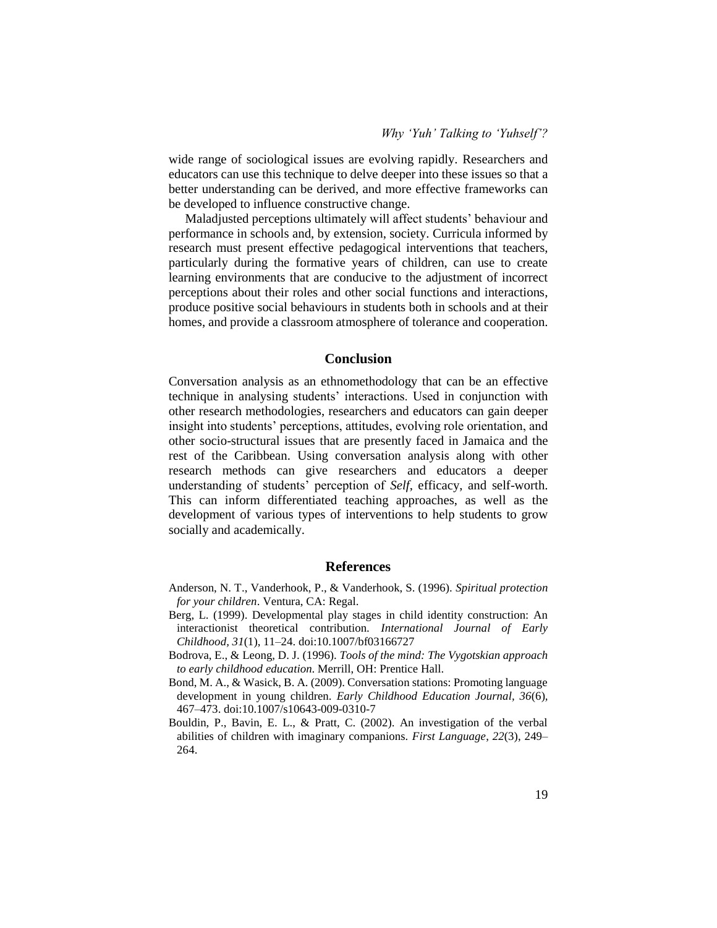wide range of sociological issues are evolving rapidly. Researchers and educators can use this technique to delve deeper into these issues so that a better understanding can be derived, and more effective frameworks can be developed to influence constructive change.

Maladjusted perceptions ultimately will affect students' behaviour and performance in schools and, by extension, society. Curricula informed by research must present effective pedagogical interventions that teachers, particularly during the formative years of children, can use to create learning environments that are conducive to the adjustment of incorrect perceptions about their roles and other social functions and interactions, produce positive social behaviours in students both in schools and at their homes, and provide a classroom atmosphere of tolerance and cooperation.

#### **Conclusion**

Conversation analysis as an ethnomethodology that can be an effective technique in analysing students' interactions. Used in conjunction with other research methodologies, researchers and educators can gain deeper insight into students' perceptions, attitudes, evolving role orientation, and other socio-structural issues that are presently faced in Jamaica and the rest of the Caribbean. Using conversation analysis along with other research methods can give researchers and educators a deeper understanding of students' perception of *Self*, efficacy, and self-worth. This can inform differentiated teaching approaches, as well as the development of various types of interventions to help students to grow socially and academically.

#### **References**

- Anderson, N. T., Vanderhook, P., & Vanderhook, S. (1996). *Spiritual protection for your children*. Ventura, CA: Regal.
- Berg, L. (1999). Developmental play stages in child identity construction: An interactionist theoretical contribution. *International Journal of Early Childhood, 31*(1), 11–24. doi:10.1007/bf03166727
- Bodrova, E., & Leong, D. J. (1996). *Tools of the mind: The Vygotskian approach to early childhood education*. Merrill, OH: Prentice Hall.
- Bond, M. A., & Wasick, B. A. (2009). Conversation stations: Promoting language development in young children. *Early Childhood Education Journal, 36*(6)*,* 467–473. doi:10.1007/s10643-009-0310-7
- Bouldin, P., Bavin, E. L., & Pratt, C. (2002). An investigation of the verbal abilities of children with imaginary companions. *First Language*, *22*(3), 249– 264.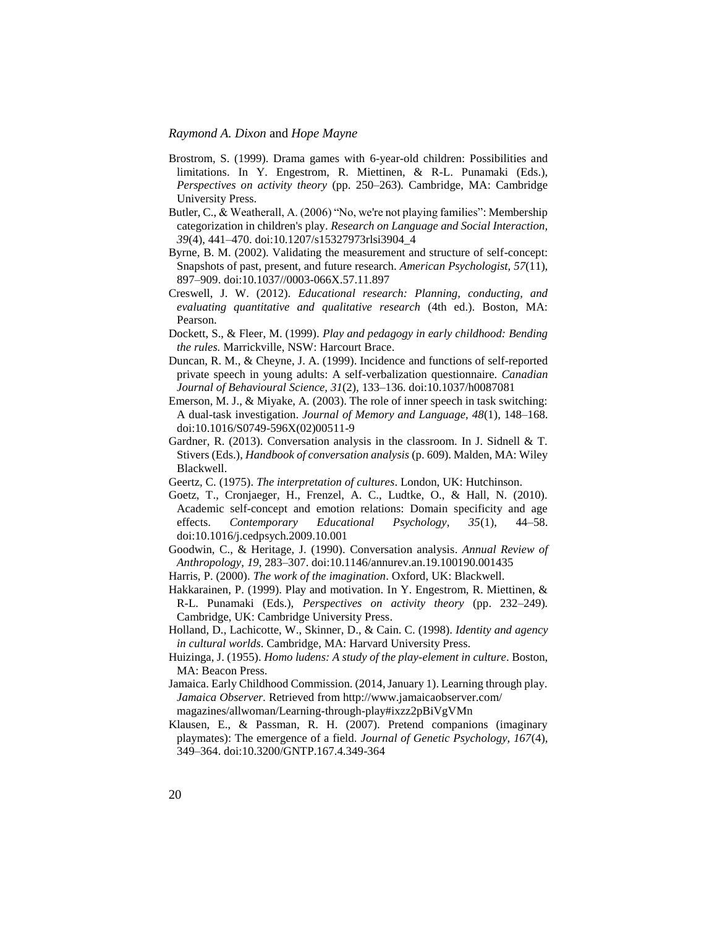- Brostrom, S. (1999). Drama games with 6-year-old children: Possibilities and limitations. In Y. Engestrom, R. Miettinen, & R-L. Punamaki (Eds.), *Perspectives on activity theory* (pp. 250–263)*.* Cambridge, MA: Cambridge University Press.
- Butler, C., & Weatherall, A. (2006) "No, we're not playing families": Membership categorization in children's play. *Research on Language and Social Interaction, 39*(4), 441–470. doi:10.1207/s15327973rlsi3904\_4
- Byrne, B. M. (2002). Validating the measurement and structure of self-concept: Snapshots of past, present, and future research. *American Psychologist, 57*(11), 897–909. doi:10.1037//0003-066X.57.11.897
- Creswell, J. W. (2012). *Educational research: Planning, conducting, and evaluating quantitative and qualitative research* (4th ed.). Boston, MA: Pearson.
- Dockett, S., & Fleer, M. (1999). *Play and pedagogy in early childhood: Bending the rules.* Marrickville, NSW: Harcourt Brace.
- Duncan, R. M., & Cheyne, J. A. (1999). Incidence and functions of self-reported private speech in young adults: A self-verbalization questionnaire. *Canadian Journal of Behavioural Science, 31*(2)*,* 133–136. doi:10.1037/h0087081
- Emerson, M. J., & Miyake, A. (2003). The role of inner speech in task switching: A dual-task investigation. *Journal of Memory and Language, 48*(1)*,* 148–168. doi:10.1016/S0749-596X(02)00511-9
- Gardner, R. (2013). Conversation analysis in the classroom. In J. Sidnell & T. Stivers (Eds.), *Handbook of conversation analysis* (p. 609). Malden, MA: Wiley Blackwell.
- Geertz, C. (1975). *The interpretation of cultures*. London, UK: Hutchinson.
- Goetz, T., Cronjaeger, H., Frenzel, A. C., Ludtke, O., & Hall, N. (2010). Academic self-concept and emotion relations: Domain specificity and age effects. *Contemporary Educational Psychology, 35*(1), 44–58. doi:10.1016/j.cedpsych.2009.10.001
- Goodwin, C., & Heritage, J. (1990). Conversation analysis. *Annual Review of Anthropology, 19*, 283–307. doi:10.1146/annurev.an.19.100190.001435
- Harris, P. (2000). *The work of the imagination*. Oxford, UK: Blackwell.
- Hakkarainen, P. (1999). Play and motivation. In Y. Engestrom, R. Miettinen, & R-L. Punamaki (Eds.), *Perspectives on activity theory* (pp. 232–249)*.*  Cambridge, UK: Cambridge University Press.
- Holland, D., Lachicotte, W., Skinner, D., & Cain. C. (1998). *Identity and agency in cultural worlds*. Cambridge, MA: Harvard University Press.
- Huizinga, J. (1955). *Homo ludens: A study of the play-element in culture*. Boston, MA: Beacon Press.
- Jamaica. Early Childhood Commission. (2014, January 1). Learning through play*. Jamaica Observer.* Retrieved from http://www.jamaicaobserver.com/ magazines/allwoman/Learning-through-play#ixzz2pBiVgVMn
- Klausen, E., & Passman, R. H. (2007). Pretend companions (imaginary playmates): The emergence of a field. *Journal of Genetic Psychology, 167*(4), 349–364. doi:10.3200/GNTP.167.4.349-364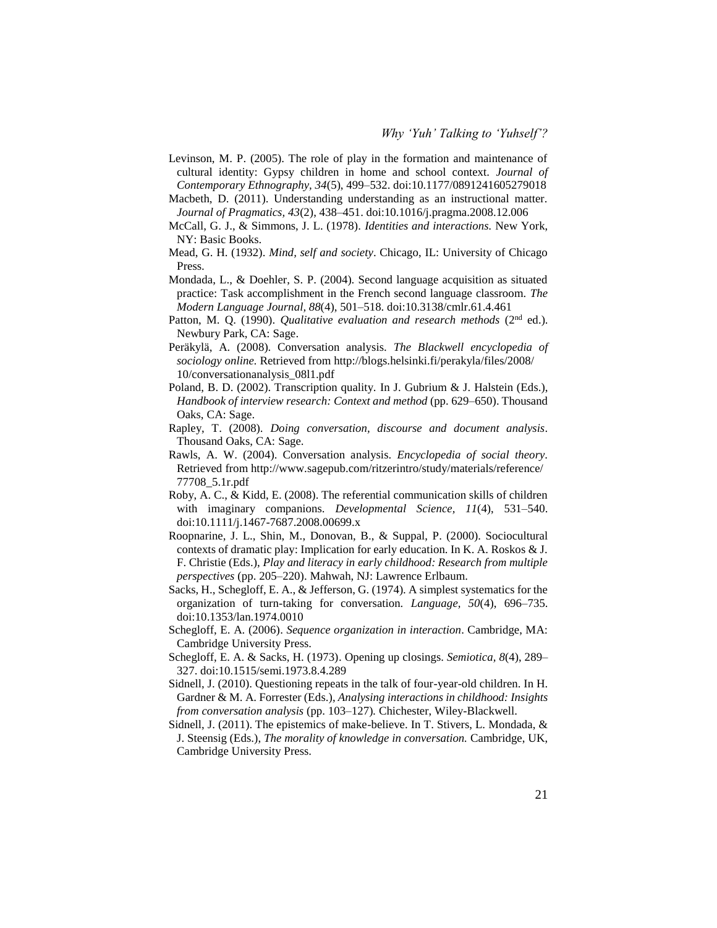Levinson, M. P. (2005). The role of play in the formation and maintenance of cultural identity: Gypsy children in home and school context. *Journal of Contemporary Ethnography, 34*(5), 499–532. doi:10.1177/0891241605279018

Macbeth, D. (2011). Understanding understanding as an instructional matter. *Journal of Pragmatics, 43*(2), 438–451. doi:10.1016/j.pragma.2008.12.006

- McCall, G. J., & Simmons, J. L. (1978). *Identities and interactions.* New York, NY: Basic Books.
- Mead, G. H. (1932). *Mind, self and society*. Chicago, IL: University of Chicago Press.
- Mondada, L., & Doehler, S. P. (2004). Second language acquisition as situated practice: Task accomplishment in the French second language classroom. *The Modern Language Journal, 88*(4), 501–518. doi:10.3138/cmlr.61.4.461
- Patton, M. Q. (1990). *Qualitative evaluation and research methods* (2<sup>nd</sup> ed.). Newbury Park, CA: Sage.
- Peräkylä, A. (2008). Conversation analysis. *The Blackwell encyclopedia of sociology online.* Retrieved from http://blogs.helsinki.fi/perakyla/files/2008/ 10/conversationanalysis\_08l1.pdf
- Poland, B. D. (2002). Transcription quality. In J. Gubrium & J. Halstein (Eds.), *Handbook of interview research: Context and method* (pp. 629–650). Thousand Oaks, CA: Sage.
- Rapley, T. (2008). *Doing conversation, discourse and document analysis*. Thousand Oaks, CA: Sage.
- Rawls, A. W. (2004). Conversation analysis. *Encyclopedia of social theory*. Retrieved from http://www.sagepub.com/ritzerintro/study/materials/reference/ 77708\_5.1r.pdf
- Roby, A. C., & Kidd, E. (2008). The referential communication skills of children with imaginary companions. *Developmental Science, 11*(4), 531–540. doi:10.1111/j.1467-7687.2008.00699.x
- Roopnarine, J. L., Shin, M., Donovan, B., & Suppal, P. (2000). Sociocultural contexts of dramatic play: Implication for early education. In K. A. Roskos & J. F. Christie (Eds.), *Play and literacy in early childhood: Research from multiple perspectives* (pp. 205–220). Mahwah, NJ: Lawrence Erlbaum.
- Sacks, H., Schegloff, E. A., & Jefferson, G. (1974). A simplest systematics for the organization of turn-taking for conversation. *Language, 50*(4), 696–735. doi:10.1353/lan.1974.0010
- Schegloff, E. A. (2006). *Sequence organization in interaction*. Cambridge, MA: Cambridge University Press.
- Schegloff, E. A. & Sacks, H. (1973). Opening up closings. *Semiotica, 8*(4), 289– 327. doi:10.1515/semi.1973.8.4.289
- Sidnell, J. (2010). Questioning repeats in the talk of four-year-old children. In H. Gardner & M. A. Forrester (Eds.), *Analysing interactions in childhood: Insights from conversation analysis* (pp. 103–127)*.* Chichester, Wiley-Blackwell.
- Sidnell, J. (2011). The epistemics of make-believe. In T. Stivers, L. Mondada, & J. Steensig (Eds.), *The morality of knowledge in conversation.* Cambridge, UK, Cambridge University Press.